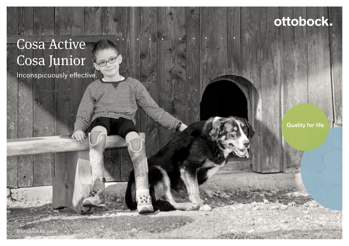# Cosa Active Cosa Junior

Inconspicuously effective.

**Quality for life** 

ottobock.

Information for users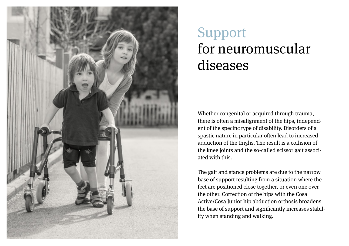

# Support for neuromuscular diseases

Whether congenital or acquired through trauma, there is often a misalignment of the hips, independent of the specific type of disability. Disorders of a spastic nature in particular often lead to increased adduction of the thighs. The result is a collision of the knee joints and the so-called scissor gait associated with this.

The gait and stance problems are due to the narrow base of support resulting from a situation where the feet are positioned close together, or even one over the other. Correction of the hips with the Cosa Active/Cosa Junior hip abduction orthosis broadens the base of support and significantly increases stability when standing and walking.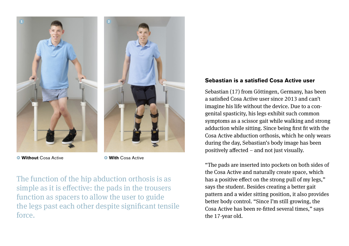

• **Without** Cosa Active • **With** Cosa Active

The function of the hip abduction orthosis is as simple as it is effective: the pads in the trousers function as spacers to allow the user to guide the legs past each other despite significant tensile force.

## **Sebastian is a satisfied Cosa Active user**

Sebastian (17) from Göttingen, Germany, has been a satisfied Cosa Active user since 2013 and can't imagine his life without the device. Due to a congenital spasticity, his legs exhibit such common symptoms as a scissor gait while walking and strong adduction while sitting. Since being first fit with the Cosa Active abduction orthosis, which he only wears during the day, Sebastian's body image has been positively affected – and not just visually.

"The pads are inserted into pockets on both sides of the Cosa Active and naturally create space, which has a positive effect on the strong pull of my legs," says the student. Besides creating a better gait pattern and a wider sitting position, it also provides better body control. "Since I'm still growing, the Cosa Active has been re-fitted several times," says the 17-year old.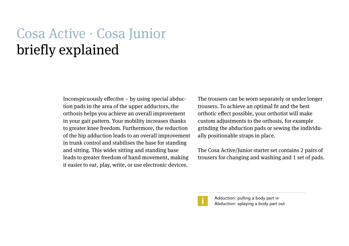## Cosa Active ∙ Cosa Junior briefly explained

Inconspicuously effective – by using special abduction pads in the area of the upper adductors, the orthosis helps you achieve an overall improvement in your gait pattern. Your mobility increases thanks to greater knee freedom. Furthermore, the reduction of the hip adduction leads to an overall improvement in trunk control and stabilises the base for standing and sitting. This wider sitting and standing base leads to greater freedom of hand movement, making it easier to eat, play, write, or use electronic devices.

The trousers can be worn separately or under longer trousers. To achieve an optimal fit and the best orthotic effect possible, your orthotist will make custom adjustments to the orthosis, for example grinding the abduction pads or sewing the individually positionable straps in place.

The Cosa Active/Junior starter set contains 2 pairs of trousers for changing and washing and 1 set of pads.



Adduction: pulling a body part in Abduction: splaying a body part out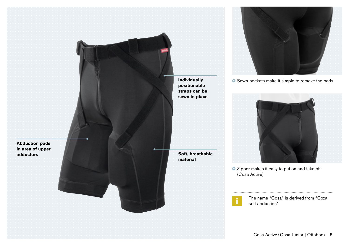**Abduction pads in area of upper**  **Individually positionable straps can be sewn in place**

**Soft, breathable material**



**•** Sewn pockets make it simple to remove the pads



• Zipper makes it easy to put on and take off (Cosa Active)

> The name "Cosa" is derived from "Coxa soft abduction"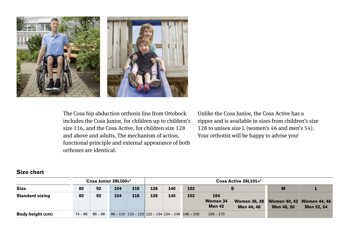

The Cosa hip abduction orthosis line from Ottobock includes the Cosa Junior, for children up to children's size 116, and the Cosa Active, for children size 128 and above and adults. The mechanism of action, functional principle and external appearance of both orthoses are identical.

Unlike the Cosa Junior, the Cosa Active has a zipper and is available in sizes from children's size 128 to unisex size L (women's 46 and men's 54). Your orthotist will be happy to advise you!

#### **Size chart**

|                         |    | $\text{Cosa}\$ Junior 28 $\text{L}100=$ * |     | Cosa Active $28L101 =$ * |     |     |                                                                                |                                  |            |                                                      |            |
|-------------------------|----|-------------------------------------------|-----|--------------------------|-----|-----|--------------------------------------------------------------------------------|----------------------------------|------------|------------------------------------------------------|------------|
| <b>Size</b>             | 80 | 92                                        | 104 | 116                      | 128 | 140 | 152                                                                            |                                  |            |                                                      |            |
| <b>Standard sizing</b>  | 80 | 92                                        | 104 | 116                      | 128 | 140 | 152                                                                            | 164<br>Women 34<br><b>Men 42</b> | Men 44, 46 | Women 36, 38 Women 40, 42 Women 44, 46<br>Men 48, 50 | Men 52, 54 |
| <b>Body height (cm)</b> |    |                                           |     |                          |     |     | $74 - 86 = 86 - 98 = 98 - 110 = 110 - 122 = 122 - 134 = 134 - 146 = 146 - 158$ | 158 – 170                        |            |                                                      |            |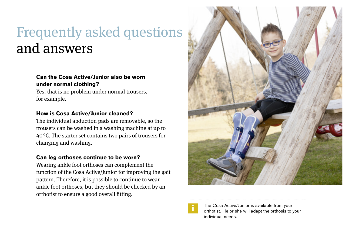## Frequently asked questions and answers

## **Can the Cosa Active/Junior also be worn under normal clothing?**

Yes, that is no problem under normal trousers, for example.

### **How is Cosa Active/Junior cleaned?**

The individual abduction pads are removable, so the trousers can be washed in a washing machine at up to 40°C. The starter set contains two pairs of trousers for changing and washing.

### **Can leg orthoses continue to be worn?**

Wearing ankle foot orthoses can complement the function of the Cosa Active/Junior for improving the gait pattern. Therefore, it is possible to continue to wear ankle foot orthoses, but they should be checked by an orthotist to ensure a good overall fitting.





The Cosa Active/Junior is available from your orthotist. He or she will adapt the orthosis to your individual needs.